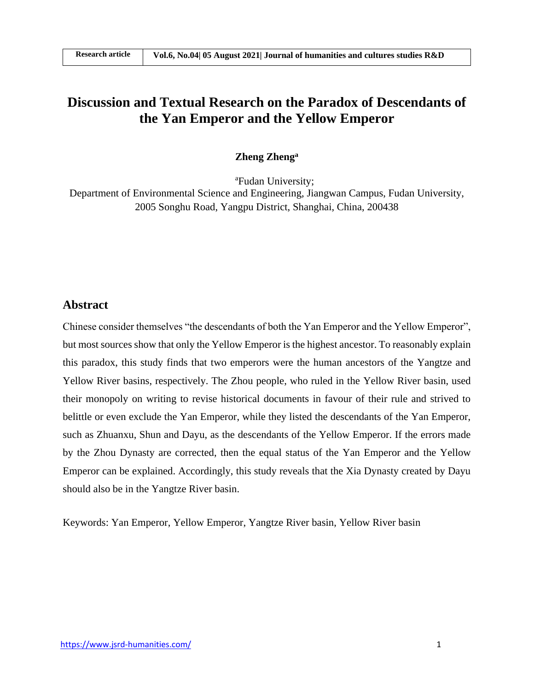# **Discussion and Textual Research on the Paradox of Descendants of the Yan Emperor and the Yellow Emperor**

#### **Zheng Zheng<sup>a</sup>**

<sup>a</sup>Fudan University;

Department of Environmental Science and Engineering, Jiangwan Campus, Fudan University, 2005 Songhu Road, Yangpu District, Shanghai, China, 200438

### **Abstract**

Chinese consider themselves "the descendants of both the Yan Emperor and the Yellow Emperor", but most sources show that only the Yellow Emperor is the highest ancestor. To reasonably explain this paradox, this study finds that two emperors were the human ancestors of the Yangtze and Yellow River basins, respectively. The Zhou people, who ruled in the Yellow River basin, used their monopoly on writing to revise historical documents in favour of their rule and strived to belittle or even exclude the Yan Emperor, while they listed the descendants of the Yan Emperor, such as Zhuanxu, Shun and Dayu, as the descendants of the Yellow Emperor. If the errors made by the Zhou Dynasty are corrected, then the equal status of the Yan Emperor and the Yellow Emperor can be explained. Accordingly, this study reveals that the Xia Dynasty created by Dayu should also be in the Yangtze River basin.

Keywords: Yan Emperor, Yellow Emperor, Yangtze River basin, Yellow River basin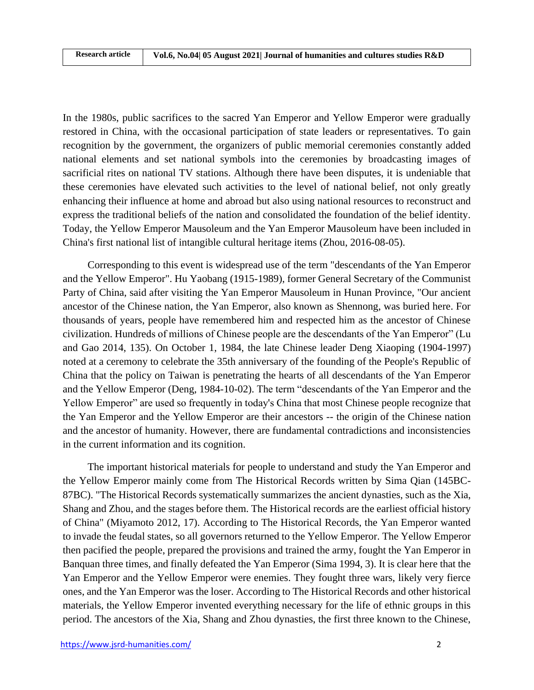$R = 1$ | Rese

In the 1980s, public sacrifices to the sacred Yan Emperor and Yellow Emperor were gradually restored in China, with the occasional participation of state leaders or representatives. To gain recognition by the government, the organizers of public memorial ceremonies constantly added national elements and set national symbols into the ceremonies by broadcasting images of sacrificial rites on national TV stations. Although there have been disputes, it is undeniable that these ceremonies have elevated such activities to the level of national belief, not only greatly enhancing their influence at home and abroad but also using national resources to reconstruct and express the traditional beliefs of the nation and consolidated the foundation of the belief identity. Today, the Yellow Emperor Mausoleum and the Yan Emperor Mausoleum have been included in China's first national list of intangible cultural heritage items (Zhou, 2016-08-05).

Corresponding to this event is widespread use of the term "descendants of the Yan Emperor and the Yellow Emperor". Hu Yaobang (1915-1989), former General Secretary of the Communist Party of China, said after visiting the Yan Emperor Mausoleum in Hunan Province, "Our ancient ancestor of the Chinese nation, the Yan Emperor, also known as Shennong, was buried here. For thousands of years, people have remembered him and respected him as the ancestor of Chinese civilization. Hundreds of millions of Chinese people are the descendants of the Yan Emperor" (Lu and Gao 2014, 135). On October 1, 1984, the late Chinese leader Deng Xiaoping (1904-1997) noted at a ceremony to celebrate the 35th anniversary of the founding of the People's Republic of China that the policy on Taiwan is penetrating the hearts of all descendants of the Yan Emperor and the Yellow Emperor (Deng, 1984-10-02). The term "descendants of the Yan Emperor and the Yellow Emperor" are used so frequently in today's China that most Chinese people recognize that the Yan Emperor and the Yellow Emperor are their ancestors -- the origin of the Chinese nation and the ancestor of humanity. However, there are fundamental contradictions and inconsistencies in the current information and its cognition.

The important historical materials for people to understand and study the Yan Emperor and the Yellow Emperor mainly come from The Historical Records written by Sima Qian (145BC-87BC). "The Historical Records systematically summarizes the ancient dynasties, such as the Xia, Shang and Zhou, and the stages before them. The Historical records are the earliest official history of China" (Miyamoto 2012, 17). According to The Historical Records, the Yan Emperor wanted to invade the feudal states, so all governors returned to the Yellow Emperor. The Yellow Emperor then pacified the people, prepared the provisions and trained the army, fought the Yan Emperor in Banquan three times, and finally defeated the Yan Emperor (Sima 1994, 3). It is clear here that the Yan Emperor and the Yellow Emperor were enemies. They fought three wars, likely very fierce ones, and the Yan Emperor was the loser. According to The Historical Records and other historical materials, the Yellow Emperor invented everything necessary for the life of ethnic groups in this period. The ancestors of the Xia, Shang and Zhou dynasties, the first three known to the Chinese,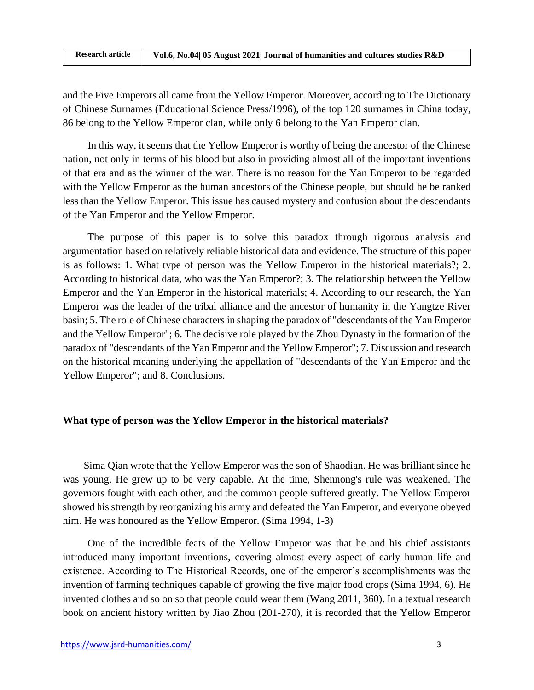| <b>Research article</b> | Vol.6, No.04  05 August 2021  Journal of humanities and cultures studies R&D |
|-------------------------|------------------------------------------------------------------------------|

and the Five Emperors all came from the Yellow Emperor. Moreover, according to The Dictionary of Chinese Surnames (Educational Science Press/1996), of the top 120 surnames in China today, 86 belong to the Yellow Emperor clan, while only 6 belong to the Yan Emperor clan.

In this way, it seems that the Yellow Emperor is worthy of being the ancestor of the Chinese nation, not only in terms of his blood but also in providing almost all of the important inventions of that era and as the winner of the war. There is no reason for the Yan Emperor to be regarded with the Yellow Emperor as the human ancestors of the Chinese people, but should he be ranked less than the Yellow Emperor. This issue has caused mystery and confusion about the descendants of the Yan Emperor and the Yellow Emperor.

The purpose of this paper is to solve this paradox through rigorous analysis and argumentation based on relatively reliable historical data and evidence. The structure of this paper is as follows: 1. What type of person was the Yellow Emperor in the historical materials?; 2. According to historical data, who was the Yan Emperor?; 3. The relationship between the Yellow Emperor and the Yan Emperor in the historical materials; 4. According to our research, the Yan Emperor was the leader of the tribal alliance and the ancestor of humanity in the Yangtze River basin; 5. The role of Chinese characters in shaping the paradox of "descendants of the Yan Emperor and the Yellow Emperor"; 6. The decisive role played by the Zhou Dynasty in the formation of the paradox of "descendants of the Yan Emperor and the Yellow Emperor"; 7. Discussion and research on the historical meaning underlying the appellation of "descendants of the Yan Emperor and the Yellow Emperor"; and 8. Conclusions.

#### **What type of person was the Yellow Emperor in the historical materials?**

Sima Qian wrote that the Yellow Emperor was the son of Shaodian. He was brilliant since he was young. He grew up to be very capable. At the time, Shennong's rule was weakened. The governors fought with each other, and the common people suffered greatly. The Yellow Emperor showed his strength by reorganizing his army and defeated the Yan Emperor, and everyone obeyed him. He was honoured as the Yellow Emperor. (Sima 1994, 1-3)

One of the incredible feats of the Yellow Emperor was that he and his chief assistants introduced many important inventions, covering almost every aspect of early human life and existence. According to The Historical Records, one of the emperor's accomplishments was the invention of farming techniques capable of growing the five major food crops (Sima 1994, 6). He invented clothes and so on so that people could wear them (Wang 2011, 360). In a textual research book on ancient history written by Jiao Zhou (201-270), it is recorded that the Yellow Emperor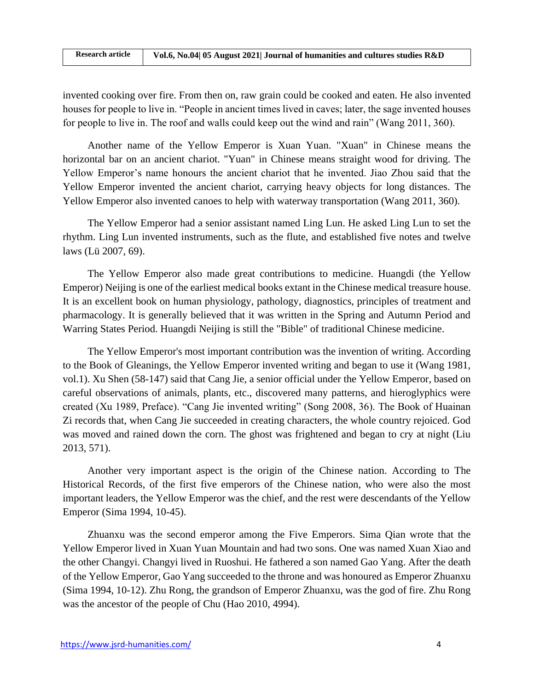| <b>Research article</b> | Vol.6, No.04  05 August 2021  Journal of humanities and cultures studies R&D |
|-------------------------|------------------------------------------------------------------------------|

invented cooking over fire. From then on, raw grain could be cooked and eaten. He also invented houses for people to live in. "People in ancient times lived in caves; later, the sage invented houses for people to live in. The roof and walls could keep out the wind and rain" (Wang 2011, 360).

Another name of the Yellow Emperor is Xuan Yuan. "Xuan" in Chinese means the horizontal bar on an ancient chariot. "Yuan" in Chinese means straight wood for driving. The Yellow Emperor's name honours the ancient chariot that he invented. Jiao Zhou said that the Yellow Emperor invented the ancient chariot, carrying heavy objects for long distances. The Yellow Emperor also invented canoes to help with waterway transportation (Wang 2011, 360).

The Yellow Emperor had a senior assistant named Ling Lun. He asked Ling Lun to set the rhythm. Ling Lun invented instruments, such as the flute, and established five notes and twelve laws (Lü 2007, 69).

The Yellow Emperor also made great contributions to medicine. Huangdi (the Yellow Emperor) Neijing is one of the earliest medical books extant in the Chinese medical treasure house. It is an excellent book on human physiology, pathology, diagnostics, principles of treatment and pharmacology. It is generally believed that it was written in the Spring and Autumn Period and Warring States Period. Huangdi Neijing is still the "Bible" of traditional Chinese medicine.

The Yellow Emperor's most important contribution was the invention of writing. According to the Book of Gleanings, the Yellow Emperor invented writing and began to use it (Wang 1981, vol.1). Xu Shen (58-147) said that Cang Jie, a senior official under the Yellow Emperor, based on careful observations of animals, plants, etc., discovered many patterns, and hieroglyphics were created (Xu 1989, Preface). "Cang Jie invented writing" (Song 2008, 36). The Book of Huainan Zi records that, when Cang Jie succeeded in creating characters, the whole country rejoiced. God was moved and rained down the corn. The ghost was frightened and began to cry at night (Liu 2013, 571).

Another very important aspect is the origin of the Chinese nation. According to The Historical Records, of the first five emperors of the Chinese nation, who were also the most important leaders, the Yellow Emperor was the chief, and the rest were descendants of the Yellow Emperor (Sima 1994, 10-45).

Zhuanxu was the second emperor among the Five Emperors. Sima Qian wrote that the Yellow Emperor lived in Xuan Yuan Mountain and had two sons. One was named Xuan Xiao and the other Changyi. Changyi lived in Ruoshui. He fathered a son named Gao Yang. After the death of the Yellow Emperor, Gao Yang succeeded to the throne and was honoured as Emperor Zhuanxu (Sima 1994, 10-12). Zhu Rong, the grandson of Emperor Zhuanxu, was the god of fire. Zhu Rong was the ancestor of the people of Chu (Hao 2010, 4994).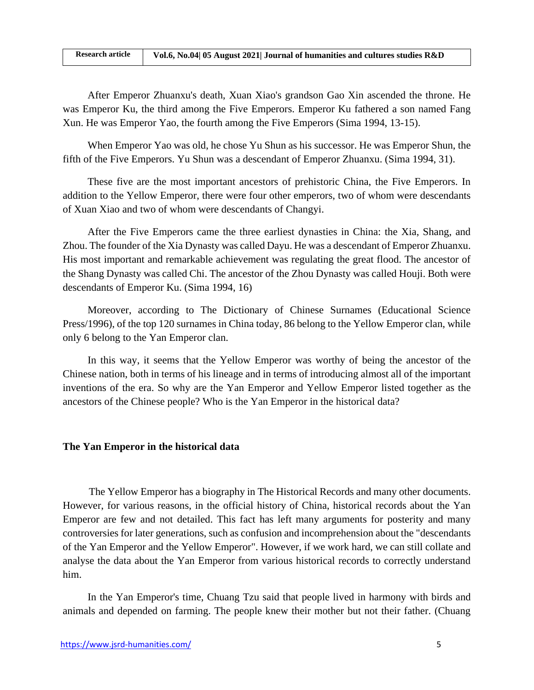| <b>Research article</b> | Vol.6, No.04  05 August 2021  Journal of humanities and cultures studies R&D |
|-------------------------|------------------------------------------------------------------------------|

After Emperor Zhuanxu's death, Xuan Xiao's grandson Gao Xin ascended the throne. He was Emperor Ku, the third among the Five Emperors. Emperor Ku fathered a son named Fang Xun. He was Emperor Yao, the fourth among the Five Emperors (Sima 1994, 13-15).

When Emperor Yao was old, he chose Yu Shun as his successor. He was Emperor Shun, the fifth of the Five Emperors. Yu Shun was a descendant of Emperor Zhuanxu. (Sima 1994, 31).

These five are the most important ancestors of prehistoric China, the Five Emperors. In addition to the Yellow Emperor, there were four other emperors, two of whom were descendants of Xuan Xiao and two of whom were descendants of Changyi.

After the Five Emperors came the three earliest dynasties in China: the Xia, Shang, and Zhou. The founder of the Xia Dynasty was called Dayu. He was a descendant of Emperor Zhuanxu. His most important and remarkable achievement was regulating the great flood. The ancestor of the Shang Dynasty was called Chi. The ancestor of the Zhou Dynasty was called Houji. Both were descendants of Emperor Ku. (Sima 1994, 16)

Moreover, according to The Dictionary of Chinese Surnames (Educational Science Press/1996), of the top 120 surnames in China today, 86 belong to the Yellow Emperor clan, while only 6 belong to the Yan Emperor clan.

In this way, it seems that the Yellow Emperor was worthy of being the ancestor of the Chinese nation, both in terms of his lineage and in terms of introducing almost all of the important inventions of the era. So why are the Yan Emperor and Yellow Emperor listed together as the ancestors of the Chinese people? Who is the Yan Emperor in the historical data?

### **The Yan Emperor in the historical data**

The Yellow Emperor has a biography in The Historical Records and many other documents. However, for various reasons, in the official history of China, historical records about the Yan Emperor are few and not detailed. This fact has left many arguments for posterity and many controversies for later generations, such as confusion and incomprehension about the "descendants of the Yan Emperor and the Yellow Emperor". However, if we work hard, we can still collate and analyse the data about the Yan Emperor from various historical records to correctly understand him.

In the Yan Emperor's time, Chuang Tzu said that people lived in harmony with birds and animals and depended on farming. The people knew their mother but not their father. (Chuang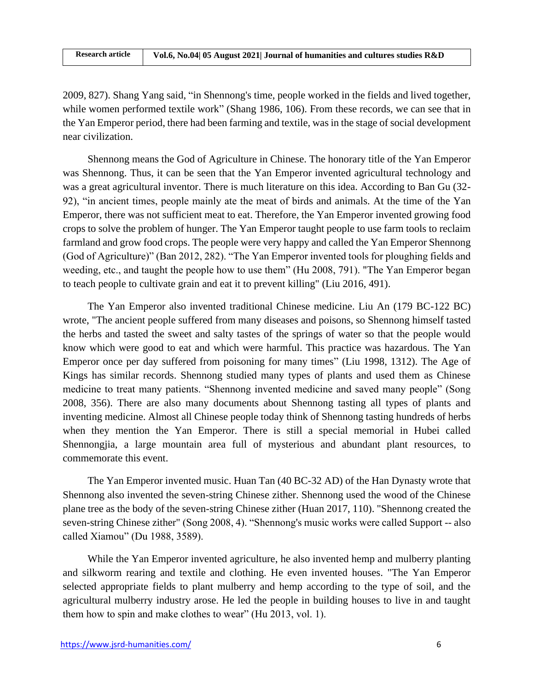| <b>Research article</b> | Vol.6, No.04  05 August 2021  Journal of humanities and cultures studies R&D |
|-------------------------|------------------------------------------------------------------------------|

2009, 827). Shang Yang said, "in Shennong's time, people worked in the fields and lived together, while women performed textile work" (Shang 1986, 106). From these records, we can see that in the Yan Emperor period, there had been farming and textile, was in the stage of social development near civilization.

Shennong means the God of Agriculture in Chinese. The honorary title of the Yan Emperor was Shennong. Thus, it can be seen that the Yan Emperor invented agricultural technology and was a great agricultural inventor. There is much literature on this idea. According to Ban Gu (32- 92), "in ancient times, people mainly ate the meat of birds and animals. At the time of the Yan Emperor, there was not sufficient meat to eat. Therefore, the Yan Emperor invented growing food crops to solve the problem of hunger. The Yan Emperor taught people to use farm tools to reclaim farmland and grow food crops. The people were very happy and called the Yan Emperor Shennong (God of Agriculture)" (Ban 2012, 282). "The Yan Emperor invented tools for ploughing fields and weeding, etc., and taught the people how to use them" (Hu 2008, 791). "The Yan Emperor began to teach people to cultivate grain and eat it to prevent killing" (Liu 2016, 491).

The Yan Emperor also invented traditional Chinese medicine. Liu An (179 BC-122 BC) wrote, "The ancient people suffered from many diseases and poisons, so Shennong himself tasted the herbs and tasted the sweet and salty tastes of the springs of water so that the people would know which were good to eat and which were harmful. This practice was hazardous. The Yan Emperor once per day suffered from poisoning for many times" (Liu 1998, 1312). The Age of Kings has similar records. Shennong studied many types of plants and used them as Chinese medicine to treat many patients. "Shennong invented medicine and saved many people" (Song 2008, 356). There are also many documents about Shennong tasting all types of plants and inventing medicine. Almost all Chinese people today think of Shennong tasting hundreds of herbs when they mention the Yan Emperor. There is still a special memorial in Hubei called Shennongjia, a large mountain area full of mysterious and abundant plant resources, to commemorate this event.

The Yan Emperor invented music. Huan Tan (40 BC-32 AD) of the Han Dynasty wrote that Shennong also invented the seven-string Chinese zither. Shennong used the wood of the Chinese plane tree as the body of the seven-string Chinese zither (Huan 2017, 110). "Shennong created the seven-string Chinese zither" (Song 2008, 4). "Shennong's music works were called Support -- also called Xiamou" (Du 1988, 3589).

While the Yan Emperor invented agriculture, he also invented hemp and mulberry planting and silkworm rearing and textile and clothing. He even invented houses. "The Yan Emperor selected appropriate fields to plant mulberry and hemp according to the type of soil, and the agricultural mulberry industry arose. He led the people in building houses to live in and taught them how to spin and make clothes to wear" (Hu 2013, vol. 1).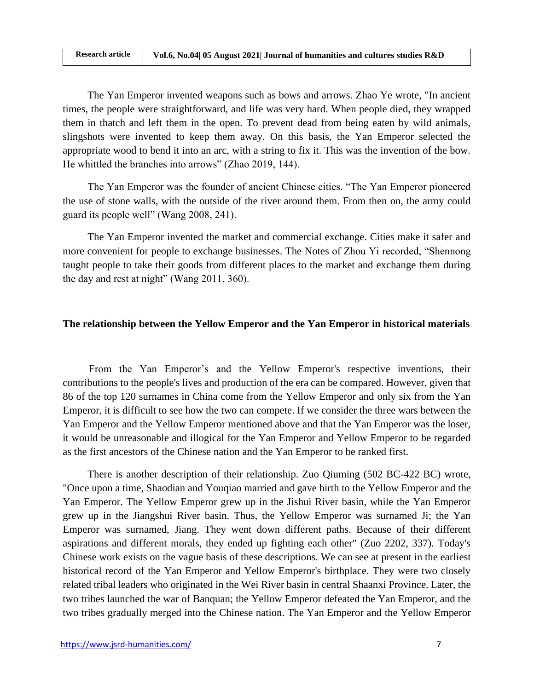The Yan Emperor invented weapons such as bows and arrows. Zhao Ye wrote, "In ancient times, the people were straightforward, and life was very hard. When people died, they wrapped them in thatch and left them in the open. To prevent dead from being eaten by wild animals, slingshots were invented to keep them away. On this basis, the Yan Emperor selected the appropriate wood to bend it into an arc, with a string to fix it. This was the invention of the bow. He whittled the branches into arrows" (Zhao 2019, 144).

The Yan Emperor was the founder of ancient Chinese cities. "The Yan Emperor pioneered the use of stone walls, with the outside of the river around them. From then on, the army could guard its people well" (Wang 2008, 241).

The Yan Emperor invented the market and commercial exchange. Cities make it safer and more convenient for people to exchange businesses. The Notes of Zhou Yi recorded, "Shennong taught people to take their goods from different places to the market and exchange them during the day and rest at night" (Wang 2011, 360).

#### **The relationship between the Yellow Emperor and the Yan Emperor in historical materials**

From the Yan Emperor's and the Yellow Emperor's respective inventions, their contributions to the people's lives and production of the era can be compared. However, given that 86 of the top 120 surnames in China come from the Yellow Emperor and only six from the Yan Emperor, it is difficult to see how the two can compete. If we consider the three wars between the Yan Emperor and the Yellow Emperor mentioned above and that the Yan Emperor was the loser, it would be unreasonable and illogical for the Yan Emperor and Yellow Emperor to be regarded as the first ancestors of the Chinese nation and the Yan Emperor to be ranked first.

There is another description of their relationship. Zuo Qiuming (502 BC-422 BC) wrote, "Once upon a time, Shaodian and Youqiao married and gave birth to the Yellow Emperor and the Yan Emperor. The Yellow Emperor grew up in the Jishui River basin, while the Yan Emperor grew up in the Jiangshui River basin. Thus, the Yellow Emperor was surnamed Ji; the Yan Emperor was surnamed, Jiang. They went down different paths. Because of their different aspirations and different morals, they ended up fighting each other" (Zuo 2202, 337). Today's Chinese work exists on the vague basis of these descriptions. We can see at present in the earliest historical record of the Yan Emperor and Yellow Emperor's birthplace. They were two closely related tribal leaders who originated in the Wei River basin in central Shaanxi Province. Later, the two tribes launched the war of Banquan; the Yellow Emperor defeated the Yan Emperor, and the two tribes gradually merged into the Chinese nation. The Yan Emperor and the Yellow Emperor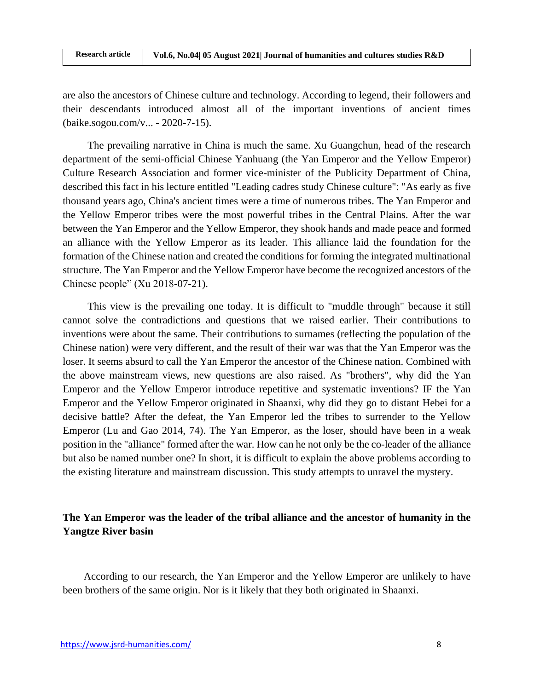| <b>Research article</b> | Vol.6, No.04  05 August 2021  Journal of humanities and cultures studies R&D |
|-------------------------|------------------------------------------------------------------------------|

are also the ancestors of Chinese culture and technology. According to legend, their followers and their descendants introduced almost all of the important inventions of ancient times (baike.sogou.com/v... - 2020-7-15).

The prevailing narrative in China is much the same. Xu Guangchun, head of the research department of the semi-official Chinese Yanhuang (the Yan Emperor and the Yellow Emperor) Culture Research Association and former vice-minister of the Publicity Department of China, described this fact in his lecture entitled "Leading cadres study Chinese culture": "As early as five thousand years ago, China's ancient times were a time of numerous tribes. The Yan Emperor and the Yellow Emperor tribes were the most powerful tribes in the Central Plains. After the war between the Yan Emperor and the Yellow Emperor, they shook hands and made peace and formed an alliance with the Yellow Emperor as its leader. This alliance laid the foundation for the formation of the Chinese nation and created the conditions for forming the integrated multinational structure. The Yan Emperor and the Yellow Emperor have become the recognized ancestors of the Chinese people" (Xu 2018-07-21).

This view is the prevailing one today. It is difficult to "muddle through" because it still cannot solve the contradictions and questions that we raised earlier. Their contributions to inventions were about the same. Their contributions to surnames (reflecting the population of the Chinese nation) were very different, and the result of their war was that the Yan Emperor was the loser. It seems absurd to call the Yan Emperor the ancestor of the Chinese nation. Combined with the above mainstream views, new questions are also raised. As "brothers", why did the Yan Emperor and the Yellow Emperor introduce repetitive and systematic inventions? IF the Yan Emperor and the Yellow Emperor originated in Shaanxi, why did they go to distant Hebei for a decisive battle? After the defeat, the Yan Emperor led the tribes to surrender to the Yellow Emperor (Lu and Gao 2014, 74). The Yan Emperor, as the loser, should have been in a weak position in the "alliance" formed after the war. How can he not only be the co-leader of the alliance but also be named number one? In short, it is difficult to explain the above problems according to the existing literature and mainstream discussion. This study attempts to unravel the mystery.

### **The Yan Emperor was the leader of the tribal alliance and the ancestor of humanity in the Yangtze River basin**

According to our research, the Yan Emperor and the Yellow Emperor are unlikely to have been brothers of the same origin. Nor is it likely that they both originated in Shaanxi.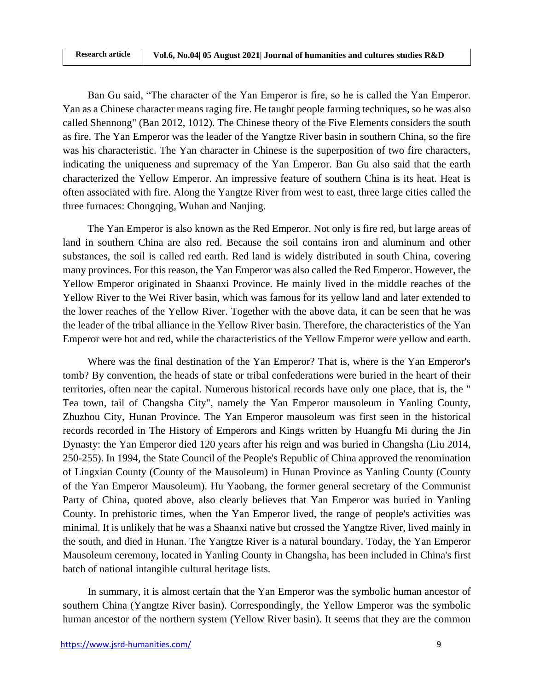Ban Gu said, "The character of the Yan Emperor is fire, so he is called the Yan Emperor. Yan as a Chinese character means raging fire. He taught people farming techniques, so he was also called Shennong" (Ban 2012, 1012). The Chinese theory of the Five Elements considers the south as fire. The Yan Emperor was the leader of the Yangtze River basin in southern China, so the fire was his characteristic. The Yan character in Chinese is the superposition of two fire characters, indicating the uniqueness and supremacy of the Yan Emperor. Ban Gu also said that the earth characterized the Yellow Emperor. An impressive feature of southern China is its heat. Heat is often associated with fire. Along the Yangtze River from west to east, three large cities called the three furnaces: Chongqing, Wuhan and Nanjing.

The Yan Emperor is also known as the Red Emperor. Not only is fire red, but large areas of land in southern China are also red. Because the soil contains iron and aluminum and other substances, the soil is called red earth. Red land is widely distributed in south China, covering many provinces. For this reason, the Yan Emperor was also called the Red Emperor. However, the Yellow Emperor originated in Shaanxi Province. He mainly lived in the middle reaches of the Yellow River to the Wei River basin, which was famous for its yellow land and later extended to the lower reaches of the Yellow River. Together with the above data, it can be seen that he was the leader of the tribal alliance in the Yellow River basin. Therefore, the characteristics of the Yan Emperor were hot and red, while the characteristics of the Yellow Emperor were yellow and earth.

Where was the final destination of the Yan Emperor? That is, where is the Yan Emperor's tomb? By convention, the heads of state or tribal confederations were buried in the heart of their territories, often near the capital. Numerous historical records have only one place, that is, the " Tea town, tail of Changsha City", namely the Yan Emperor mausoleum in Yanling County, Zhuzhou City, Hunan Province. The Yan Emperor mausoleum was first seen in the historical records recorded in The History of Emperors and Kings written by Huangfu Mi during the Jin Dynasty: the Yan Emperor died 120 years after his reign and was buried in Changsha (Liu 2014, 250-255). In 1994, the State Council of the People's Republic of China approved the renomination of Lingxian County (County of the Mausoleum) in Hunan Province as Yanling County (County of the Yan Emperor Mausoleum). Hu Yaobang, the former general secretary of the Communist Party of China, quoted above, also clearly believes that Yan Emperor was buried in Yanling County. In prehistoric times, when the Yan Emperor lived, the range of people's activities was minimal. It is unlikely that he was a Shaanxi native but crossed the Yangtze River, lived mainly in the south, and died in Hunan. The Yangtze River is a natural boundary. Today, the Yan Emperor Mausoleum ceremony, located in Yanling County in Changsha, has been included in China's first batch of national intangible cultural heritage lists.

In summary, it is almost certain that the Yan Emperor was the symbolic human ancestor of southern China (Yangtze River basin). Correspondingly, the Yellow Emperor was the symbolic human ancestor of the northern system (Yellow River basin). It seems that they are the common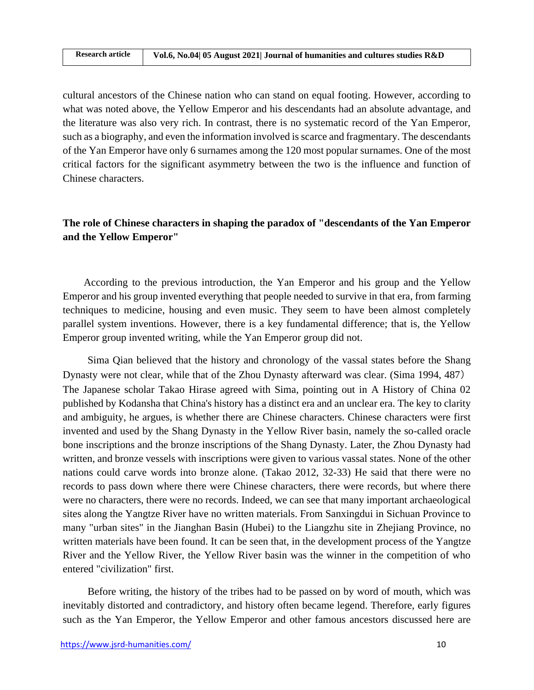cultural ancestors of the Chinese nation who can stand on equal footing. However, according to what was noted above, the Yellow Emperor and his descendants had an absolute advantage, and the literature was also very rich. In contrast, there is no systematic record of the Yan Emperor, such as a biography, and even the information involved is scarce and fragmentary. The descendants of the Yan Emperor have only 6 surnames among the 120 most popular surnames. One of the most critical factors for the significant asymmetry between the two is the influence and function of Chinese characters.

### **The role of Chinese characters in shaping the paradox of "descendants of the Yan Emperor and the Yellow Emperor"**

According to the previous introduction, the Yan Emperor and his group and the Yellow Emperor and his group invented everything that people needed to survive in that era, from farming techniques to medicine, housing and even music. They seem to have been almost completely parallel system inventions. However, there is a key fundamental difference; that is, the Yellow Emperor group invented writing, while the Yan Emperor group did not.

Sima Qian believed that the history and chronology of the vassal states before the Shang Dynasty were not clear, while that of the Zhou Dynasty afterward was clear. (Sima 1994, 487) The Japanese scholar Takao Hirase agreed with Sima, pointing out in A History of China 02 published by Kodansha that China's history has a distinct era and an unclear era. The key to clarity and ambiguity, he argues, is whether there are Chinese characters. Chinese characters were first invented and used by the Shang Dynasty in the Yellow River basin, namely the so-called oracle bone inscriptions and the bronze inscriptions of the Shang Dynasty. Later, the Zhou Dynasty had written, and bronze vessels with inscriptions were given to various vassal states. None of the other nations could carve words into bronze alone. (Takao 2012, 32-33) He said that there were no records to pass down where there were Chinese characters, there were records, but where there were no characters, there were no records. Indeed, we can see that many important archaeological sites along the Yangtze River have no written materials. From Sanxingdui in Sichuan Province to many "urban sites" in the Jianghan Basin (Hubei) to the Liangzhu site in Zhejiang Province, no written materials have been found. It can be seen that, in the development process of the Yangtze River and the Yellow River, the Yellow River basin was the winner in the competition of who entered "civilization" first.

Before writing, the history of the tribes had to be passed on by word of mouth, which was inevitably distorted and contradictory, and history often became legend. Therefore, early figures such as the Yan Emperor, the Yellow Emperor and other famous ancestors discussed here are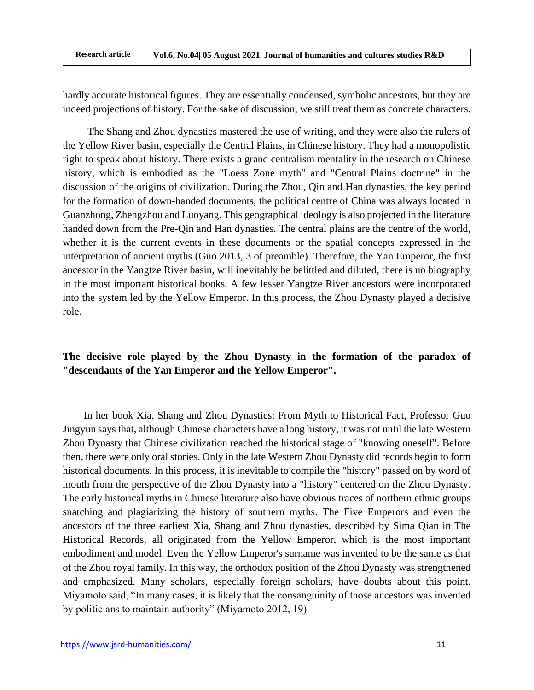| <b>Research article</b> | Vol.6, No.04  05 August 2021  Journal of humanities and cultures studies R&D |
|-------------------------|------------------------------------------------------------------------------|

hardly accurate historical figures. They are essentially condensed, symbolic ancestors, but they are indeed projections of history. For the sake of discussion, we still treat them as concrete characters.

The Shang and Zhou dynasties mastered the use of writing, and they were also the rulers of the Yellow River basin, especially the Central Plains, in Chinese history. They had a monopolistic right to speak about history. There exists a grand centralism mentality in the research on Chinese history, which is embodied as the "Loess Zone myth" and "Central Plains doctrine" in the discussion of the origins of civilization. During the Zhou, Qin and Han dynasties, the key period for the formation of down-handed documents, the political centre of China was always located in Guanzhong, Zhengzhou and Luoyang. This geographical ideology is also projected in the literature handed down from the Pre-Qin and Han dynasties. The central plains are the centre of the world, whether it is the current events in these documents or the spatial concepts expressed in the interpretation of ancient myths (Guo 2013, 3 of preamble). Therefore, the Yan Emperor, the first ancestor in the Yangtze River basin, will inevitably be belittled and diluted, there is no biography in the most important historical books. A few lesser Yangtze River ancestors were incorporated into the system led by the Yellow Emperor. In this process, the Zhou Dynasty played a decisive role.

## **The decisive role played by the Zhou Dynasty in the formation of the paradox of "descendants of the Yan Emperor and the Yellow Emperor".**

In her book Xia, Shang and Zhou Dynasties: From Myth to Historical Fact, Professor Guo Jingyun says that, although Chinese characters have a long history, it was not until the late Western Zhou Dynasty that Chinese civilization reached the historical stage of "knowing oneself". Before then, there were only oral stories. Only in the late Western Zhou Dynasty did records begin to form historical documents. In this process, it is inevitable to compile the "history" passed on by word of mouth from the perspective of the Zhou Dynasty into a "history" centered on the Zhou Dynasty. The early historical myths in Chinese literature also have obvious traces of northern ethnic groups snatching and plagiarizing the history of southern myths. The Five Emperors and even the ancestors of the three earliest Xia, Shang and Zhou dynasties, described by Sima Qian in The Historical Records, all originated from the Yellow Emperor, which is the most important embodiment and model. Even the Yellow Emperor's surname was invented to be the same as that of the Zhou royal family. In this way, the orthodox position of the Zhou Dynasty was strengthened and emphasized. Many scholars, especially foreign scholars, have doubts about this point. Miyamoto said, "In many cases, it is likely that the consanguinity of those ancestors was invented by politicians to maintain authority" (Miyamoto 2012, 19).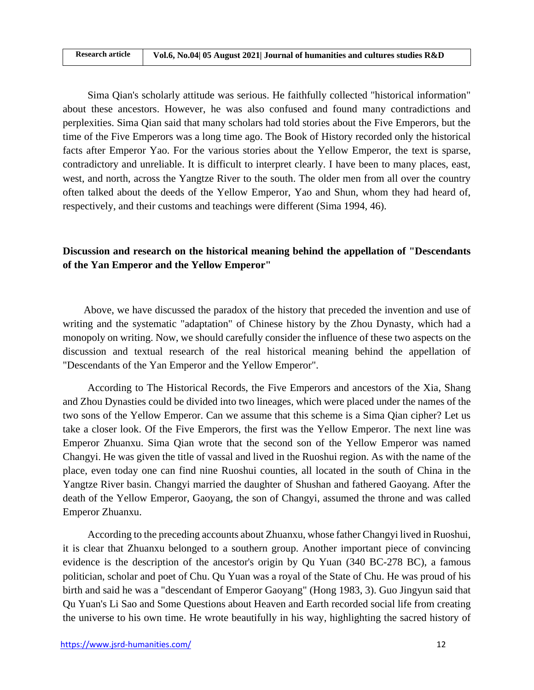Sima Qian's scholarly attitude was serious. He faithfully collected "historical information" about these ancestors. However, he was also confused and found many contradictions and perplexities. Sima Qian said that many scholars had told stories about the Five Emperors, but the time of the Five Emperors was a long time ago. The Book of History recorded only the historical facts after Emperor Yao. For the various stories about the Yellow Emperor, the text is sparse, contradictory and unreliable. It is difficult to interpret clearly. I have been to many places, east, west, and north, across the Yangtze River to the south. The older men from all over the country often talked about the deeds of the Yellow Emperor, Yao and Shun, whom they had heard of, respectively, and their customs and teachings were different (Sima 1994, 46).

# **Discussion and research on the historical meaning behind the appellation of "Descendants of the Yan Emperor and the Yellow Emperor"**

Above, we have discussed the paradox of the history that preceded the invention and use of writing and the systematic "adaptation" of Chinese history by the Zhou Dynasty, which had a monopoly on writing. Now, we should carefully consider the influence of these two aspects on the discussion and textual research of the real historical meaning behind the appellation of "Descendants of the Yan Emperor and the Yellow Emperor".

According to The Historical Records, the Five Emperors and ancestors of the Xia, Shang and Zhou Dynasties could be divided into two lineages, which were placed under the names of the two sons of the Yellow Emperor. Can we assume that this scheme is a Sima Qian cipher? Let us take a closer look. Of the Five Emperors, the first was the Yellow Emperor. The next line was Emperor Zhuanxu. Sima Qian wrote that the second son of the Yellow Emperor was named Changyi. He was given the title of vassal and lived in the Ruoshui region. As with the name of the place, even today one can find nine Ruoshui counties, all located in the south of China in the Yangtze River basin. Changyi married the daughter of Shushan and fathered Gaoyang. After the death of the Yellow Emperor, Gaoyang, the son of Changyi, assumed the throne and was called Emperor Zhuanxu.

According to the preceding accounts about Zhuanxu, whose father Changyi lived in Ruoshui, it is clear that Zhuanxu belonged to a southern group. Another important piece of convincing evidence is the description of the ancestor's origin by Qu Yuan (340 BC-278 BC), a famous politician, scholar and poet of Chu. Qu Yuan was a royal of the State of Chu. He was proud of his birth and said he was a "descendant of Emperor Gaoyang" (Hong 1983, 3). Guo Jingyun said that Qu Yuan's Li Sao and Some Questions about Heaven and Earth recorded social life from creating the universe to his own time. He wrote beautifully in his way, highlighting the sacred history of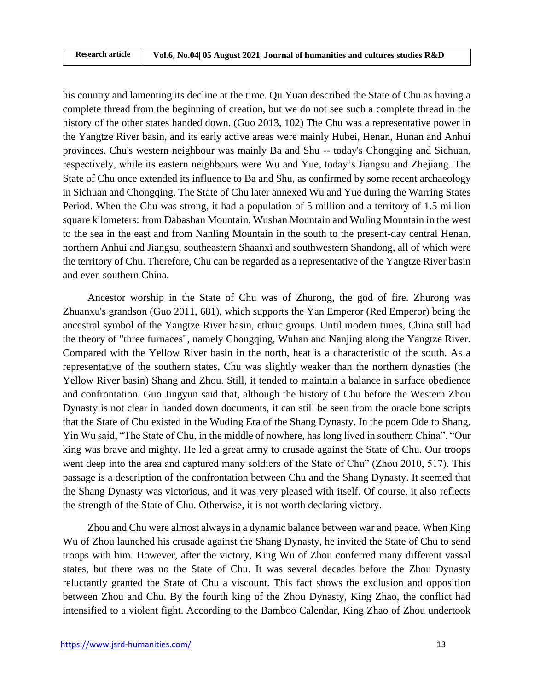his country and lamenting its decline at the time. Qu Yuan described the State of Chu as having a complete thread from the beginning of creation, but we do not see such a complete thread in the history of the other states handed down. (Guo 2013, 102) The Chu was a representative power in the Yangtze River basin, and its early active areas were mainly Hubei, Henan, Hunan and Anhui provinces. Chu's western neighbour was mainly Ba and Shu -- today's Chongqing and Sichuan, respectively, while its eastern neighbours were Wu and Yue, today's Jiangsu and Zhejiang. The State of Chu once extended its influence to Ba and Shu, as confirmed by some recent archaeology in Sichuan and Chongqing. The State of Chu later annexed Wu and Yue during the Warring States Period. When the Chu was strong, it had a population of 5 million and a territory of 1.5 million square kilometers: from Dabashan Mountain, Wushan Mountain and Wuling Mountain in the west to the sea in the east and from Nanling Mountain in the south to the present-day central Henan, northern Anhui and Jiangsu, southeastern Shaanxi and southwestern Shandong, all of which were the territory of Chu. Therefore, Chu can be regarded as a representative of the Yangtze River basin and even southern China.

Ancestor worship in the State of Chu was of Zhurong, the god of fire. Zhurong was Zhuanxu's grandson (Guo 2011, 681), which supports the Yan Emperor (Red Emperor) being the ancestral symbol of the Yangtze River basin, ethnic groups. Until modern times, China still had the theory of "three furnaces", namely Chongqing, Wuhan and Nanjing along the Yangtze River. Compared with the Yellow River basin in the north, heat is a characteristic of the south. As a representative of the southern states, Chu was slightly weaker than the northern dynasties (the Yellow River basin) Shang and Zhou. Still, it tended to maintain a balance in surface obedience and confrontation. Guo Jingyun said that, although the history of Chu before the Western Zhou Dynasty is not clear in handed down documents, it can still be seen from the oracle bone scripts that the State of Chu existed in the Wuding Era of the Shang Dynasty. In the poem Ode to Shang, Yin Wu said, "The State of Chu, in the middle of nowhere, has long lived in southern China". "Our king was brave and mighty. He led a great army to crusade against the State of Chu. Our troops went deep into the area and captured many soldiers of the State of Chu" (Zhou 2010, 517). This passage is a description of the confrontation between Chu and the Shang Dynasty. It seemed that the Shang Dynasty was victorious, and it was very pleased with itself. Of course, it also reflects the strength of the State of Chu. Otherwise, it is not worth declaring victory.

Zhou and Chu were almost always in a dynamic balance between war and peace. When King Wu of Zhou launched his crusade against the Shang Dynasty, he invited the State of Chu to send troops with him. However, after the victory, King Wu of Zhou conferred many different vassal states, but there was no the State of Chu. It was several decades before the Zhou Dynasty reluctantly granted the State of Chu a viscount. This fact shows the exclusion and opposition between Zhou and Chu. By the fourth king of the Zhou Dynasty, King Zhao, the conflict had intensified to a violent fight. According to the Bamboo Calendar, King Zhao of Zhou undertook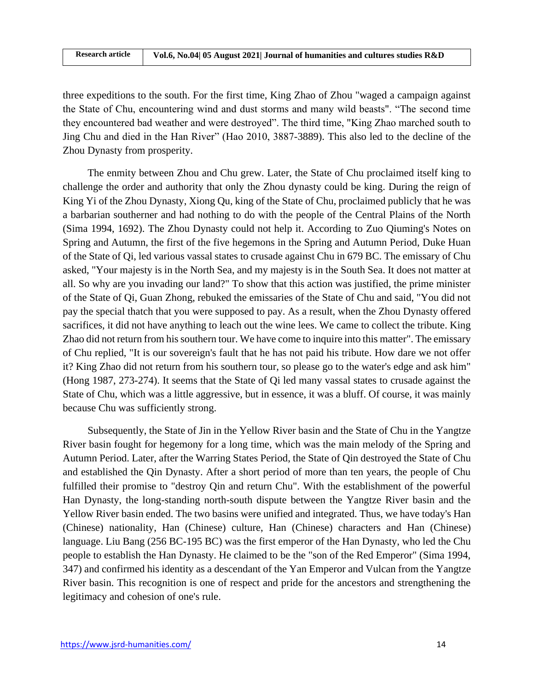| <b>Research article</b> | Vol.6, No.04  05 August 2021  Journal of humanities and cultures studies R&D |
|-------------------------|------------------------------------------------------------------------------|

three expeditions to the south. For the first time, King Zhao of Zhou "waged a campaign against the State of Chu, encountering wind and dust storms and many wild beasts". "The second time they encountered bad weather and were destroyed". The third time, "King Zhao marched south to Jing Chu and died in the Han River" (Hao 2010, 3887-3889). This also led to the decline of the Zhou Dynasty from prosperity.

The enmity between Zhou and Chu grew. Later, the State of Chu proclaimed itself king to challenge the order and authority that only the Zhou dynasty could be king. During the reign of King Yi of the Zhou Dynasty, Xiong Qu, king of the State of Chu, proclaimed publicly that he was a barbarian southerner and had nothing to do with the people of the Central Plains of the North (Sima 1994, 1692). The Zhou Dynasty could not help it. According to Zuo Qiuming's Notes on Spring and Autumn, the first of the five hegemons in the Spring and Autumn Period, Duke Huan of the State of Qi, led various vassal states to crusade against Chu in 679 BC. The emissary of Chu asked, "Your majesty is in the North Sea, and my majesty is in the South Sea. It does not matter at all. So why are you invading our land?" To show that this action was justified, the prime minister of the State of Qi, Guan Zhong, rebuked the emissaries of the State of Chu and said, "You did not pay the special thatch that you were supposed to pay. As a result, when the Zhou Dynasty offered sacrifices, it did not have anything to leach out the wine lees. We came to collect the tribute. King Zhao did not return from his southern tour. We have come to inquire into this matter". The emissary of Chu replied, "It is our sovereign's fault that he has not paid his tribute. How dare we not offer it? King Zhao did not return from his southern tour, so please go to the water's edge and ask him" (Hong 1987, 273-274). It seems that the State of Qi led many vassal states to crusade against the State of Chu, which was a little aggressive, but in essence, it was a bluff. Of course, it was mainly because Chu was sufficiently strong.

Subsequently, the State of Jin in the Yellow River basin and the State of Chu in the Yangtze River basin fought for hegemony for a long time, which was the main melody of the Spring and Autumn Period. Later, after the Warring States Period, the State of Qin destroyed the State of Chu and established the Qin Dynasty. After a short period of more than ten years, the people of Chu fulfilled their promise to "destroy Qin and return Chu". With the establishment of the powerful Han Dynasty, the long-standing north-south dispute between the Yangtze River basin and the Yellow River basin ended. The two basins were unified and integrated. Thus, we have today's Han (Chinese) nationality, Han (Chinese) culture, Han (Chinese) characters and Han (Chinese) language. Liu Bang (256 BC-195 BC) was the first emperor of the Han Dynasty, who led the Chu people to establish the Han Dynasty. He claimed to be the "son of the Red Emperor" (Sima 1994, 347) and confirmed his identity as a descendant of the Yan Emperor and Vulcan from the Yangtze River basin. This recognition is one of respect and pride for the ancestors and strengthening the legitimacy and cohesion of one's rule.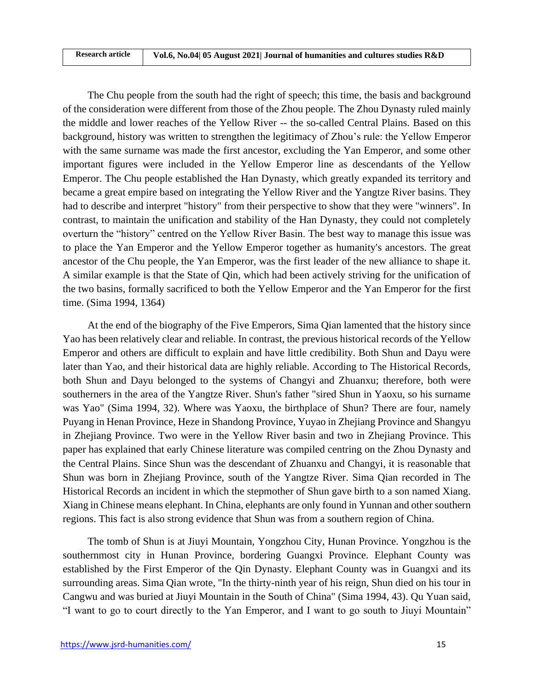The Chu people from the south had the right of speech; this time, the basis and background of the consideration were different from those of the Zhou people. The Zhou Dynasty ruled mainly the middle and lower reaches of the Yellow River -- the so-called Central Plains. Based on this background, history was written to strengthen the legitimacy of Zhou's rule: the Yellow Emperor with the same surname was made the first ancestor, excluding the Yan Emperor, and some other important figures were included in the Yellow Emperor line as descendants of the Yellow Emperor. The Chu people established the Han Dynasty, which greatly expanded its territory and became a great empire based on integrating the Yellow River and the Yangtze River basins. They had to describe and interpret "history" from their perspective to show that they were "winners". In contrast, to maintain the unification and stability of the Han Dynasty, they could not completely overturn the "history" centred on the Yellow River Basin. The best way to manage this issue was to place the Yan Emperor and the Yellow Emperor together as humanity's ancestors. The great ancestor of the Chu people, the Yan Emperor, was the first leader of the new alliance to shape it. A similar example is that the State of Qin, which had been actively striving for the unification of the two basins, formally sacrificed to both the Yellow Emperor and the Yan Emperor for the first time. (Sima 1994, 1364)

At the end of the biography of the Five Emperors, Sima Qian lamented that the history since Yao has been relatively clear and reliable. In contrast, the previous historical records of the Yellow Emperor and others are difficult to explain and have little credibility. Both Shun and Dayu were later than Yao, and their historical data are highly reliable. According to The Historical Records, both Shun and Dayu belonged to the systems of Changyi and Zhuanxu; therefore, both were southerners in the area of the Yangtze River. Shun's father "sired Shun in Yaoxu, so his surname was Yao" (Sima 1994, 32). Where was Yaoxu, the birthplace of Shun? There are four, namely Puyang in Henan Province, Heze in Shandong Province, Yuyao in Zhejiang Province and Shangyu in Zhejiang Province. Two were in the Yellow River basin and two in Zhejiang Province. This paper has explained that early Chinese literature was compiled centring on the Zhou Dynasty and the Central Plains. Since Shun was the descendant of Zhuanxu and Changyi, it is reasonable that Shun was born in Zhejiang Province, south of the Yangtze River. Sima Qian recorded in The Historical Records an incident in which the stepmother of Shun gave birth to a son named Xiang. Xiang in Chinese means elephant. In China, elephants are only found in Yunnan and other southern regions. This fact is also strong evidence that Shun was from a southern region of China.

The tomb of Shun is at Jiuyi Mountain, Yongzhou City, Hunan Province. Yongzhou is the southernmost city in Hunan Province, bordering Guangxi Province. Elephant County was established by the First Emperor of the Qin Dynasty. Elephant County was in Guangxi and its surrounding areas. Sima Qian wrote, "In the thirty-ninth year of his reign, Shun died on his tour in Cangwu and was buried at Jiuyi Mountain in the South of China" (Sima 1994, 43). Qu Yuan said, "I want to go to court directly to the Yan Emperor, and I want to go south to Jiuyi Mountain"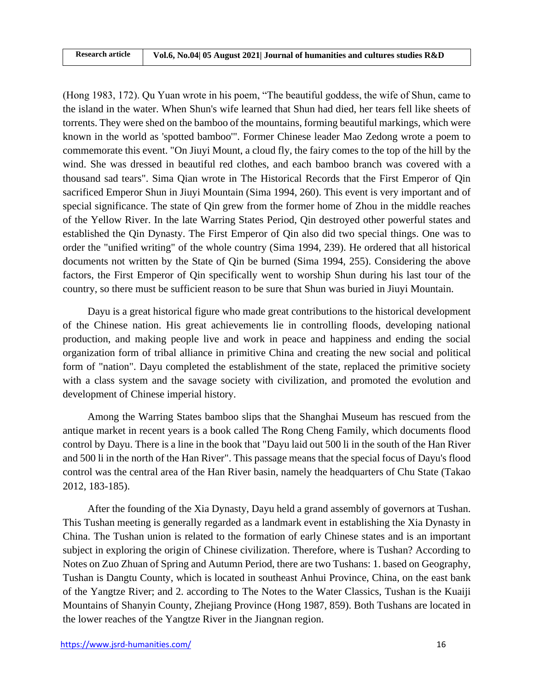(Hong 1983, 172). Qu Yuan wrote in his poem, "The beautiful goddess, the wife of Shun, came to the island in the water. When Shun's wife learned that Shun had died, her tears fell like sheets of torrents. They were shed on the bamboo of the mountains, forming beautiful markings, which were known in the world as 'spotted bamboo'". Former Chinese leader Mao Zedong wrote a poem to commemorate this event. "On Jiuyi Mount, a cloud fly, the fairy comes to the top of the hill by the wind. She was dressed in beautiful red clothes, and each bamboo branch was covered with a thousand sad tears". Sima Qian wrote in The Historical Records that the First Emperor of Qin sacrificed Emperor Shun in Jiuyi Mountain (Sima 1994, 260). This event is very important and of special significance. The state of Qin grew from the former home of Zhou in the middle reaches of the Yellow River. In the late Warring States Period, Qin destroyed other powerful states and established the Qin Dynasty. The First Emperor of Qin also did two special things. One was to order the "unified writing" of the whole country (Sima 1994, 239). He ordered that all historical documents not written by the State of Qin be burned (Sima 1994, 255). Considering the above factors, the First Emperor of Qin specifically went to worship Shun during his last tour of the country, so there must be sufficient reason to be sure that Shun was buried in Jiuyi Mountain.

Dayu is a great historical figure who made great contributions to the historical development of the Chinese nation. His great achievements lie in controlling floods, developing national production, and making people live and work in peace and happiness and ending the social organization form of tribal alliance in primitive China and creating the new social and political form of "nation". Dayu completed the establishment of the state, replaced the primitive society with a class system and the savage society with civilization, and promoted the evolution and development of Chinese imperial history.

Among the Warring States bamboo slips that the Shanghai Museum has rescued from the antique market in recent years is a book called The Rong Cheng Family, which documents flood control by Dayu. There is a line in the book that "Dayu laid out 500 li in the south of the Han River and 500 li in the north of the Han River". This passage means that the special focus of Dayu's flood control was the central area of the Han River basin, namely the headquarters of Chu State (Takao 2012, 183-185).

After the founding of the Xia Dynasty, Dayu held a grand assembly of governors at Tushan. This Tushan meeting is generally regarded as a landmark event in establishing the Xia Dynasty in China. The Tushan union is related to the formation of early Chinese states and is an important subject in exploring the origin of Chinese civilization. Therefore, where is Tushan? According to Notes on Zuo Zhuan of Spring and Autumn Period, there are two Tushans: 1. based on Geography, Tushan is Dangtu County, which is located in southeast Anhui Province, China, on the east bank of the Yangtze River; and 2. according to The Notes to the Water Classics, Tushan is the Kuaiji Mountains of Shanyin County, Zhejiang Province (Hong 1987, 859). Both Tushans are located in the lower reaches of the Yangtze River in the Jiangnan region.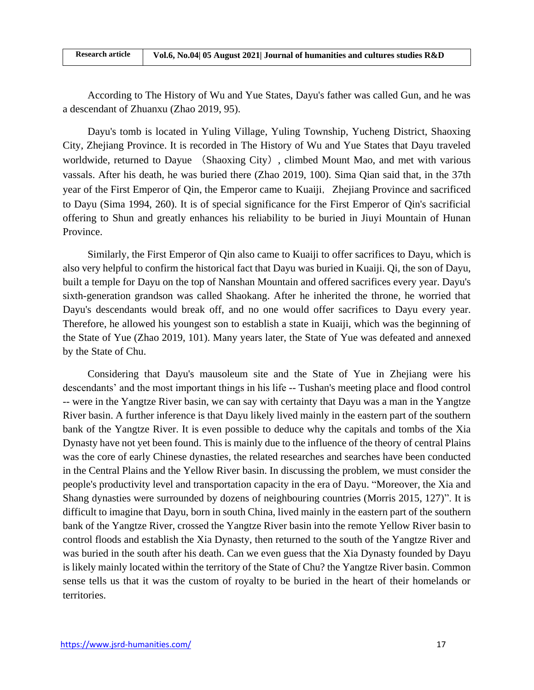| <b>Research article</b> | Vol.6, No.04  05 August 2021  Journal of humanities and cultures studies R&D |
|-------------------------|------------------------------------------------------------------------------|

According to The History of Wu and Yue States, Dayu's father was called Gun, and he was a descendant of Zhuanxu (Zhao 2019, 95).

Dayu's tomb is located in Yuling Village, Yuling Township, Yucheng District, Shaoxing City, Zhejiang Province. It is recorded in The History of Wu and Yue States that Dayu traveled worldwide, returned to Dayue (Shaoxing City), climbed Mount Mao, and met with various vassals. After his death, he was buried there (Zhao 2019, 100). Sima Qian said that, in the 37th year of the First Emperor of Qin, the Emperor came to Kuaiji, Zhejiang Province and sacrificed to Dayu (Sima 1994, 260). It is of special significance for the First Emperor of Qin's sacrificial offering to Shun and greatly enhances his reliability to be buried in Jiuyi Mountain of Hunan Province.

Similarly, the First Emperor of Qin also came to Kuaiji to offer sacrifices to Dayu, which is also very helpful to confirm the historical fact that Dayu was buried in Kuaiji. Qi, the son of Dayu, built a temple for Dayu on the top of Nanshan Mountain and offered sacrifices every year. Dayu's sixth-generation grandson was called Shaokang. After he inherited the throne, he worried that Dayu's descendants would break off, and no one would offer sacrifices to Dayu every year. Therefore, he allowed his youngest son to establish a state in Kuaiji, which was the beginning of the State of Yue (Zhao 2019, 101). Many years later, the State of Yue was defeated and annexed by the State of Chu.

Considering that Dayu's mausoleum site and the State of Yue in Zhejiang were his descendants' and the most important things in his life -- Tushan's meeting place and flood control -- were in the Yangtze River basin, we can say with certainty that Dayu was a man in the Yangtze River basin. A further inference is that Dayu likely lived mainly in the eastern part of the southern bank of the Yangtze River. It is even possible to deduce why the capitals and tombs of the Xia Dynasty have not yet been found. This is mainly due to the influence of the theory of central Plains was the core of early Chinese dynasties, the related researches and searches have been conducted in the Central Plains and the Yellow River basin. In discussing the problem, we must consider the people's productivity level and transportation capacity in the era of Dayu. "Moreover, the Xia and Shang dynasties were surrounded by dozens of neighbouring countries (Morris 2015, 127)". It is difficult to imagine that Dayu, born in south China, lived mainly in the eastern part of the southern bank of the Yangtze River, crossed the Yangtze River basin into the remote Yellow River basin to control floods and establish the Xia Dynasty, then returned to the south of the Yangtze River and was buried in the south after his death. Can we even guess that the Xia Dynasty founded by Dayu is likely mainly located within the territory of the State of Chu? the Yangtze River basin. Common sense tells us that it was the custom of royalty to be buried in the heart of their homelands or territories.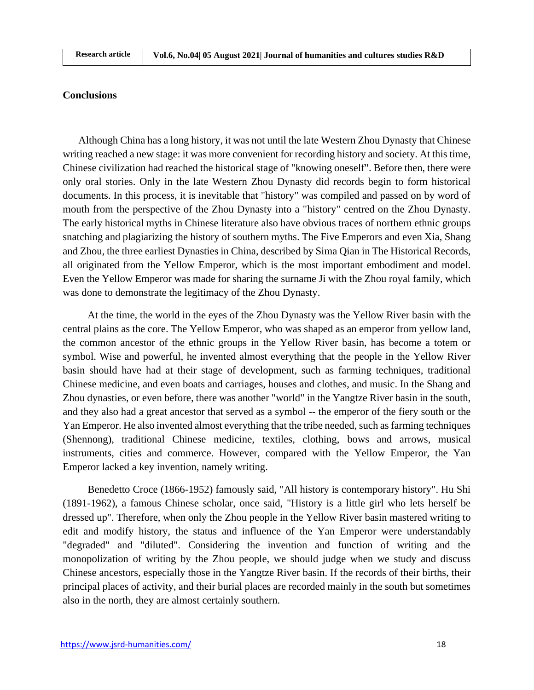#### **Conclusions**

Although China has a long history, it was not until the late Western Zhou Dynasty that Chinese writing reached a new stage: it was more convenient for recording history and society. At this time, Chinese civilization had reached the historical stage of "knowing oneself". Before then, there were only oral stories. Only in the late Western Zhou Dynasty did records begin to form historical documents. In this process, it is inevitable that "history" was compiled and passed on by word of mouth from the perspective of the Zhou Dynasty into a "history" centred on the Zhou Dynasty. The early historical myths in Chinese literature also have obvious traces of northern ethnic groups snatching and plagiarizing the history of southern myths. The Five Emperors and even Xia, Shang and Zhou, the three earliest Dynasties in China, described by Sima Qian in The Historical Records, all originated from the Yellow Emperor, which is the most important embodiment and model. Even the Yellow Emperor was made for sharing the surname Ji with the Zhou royal family, which was done to demonstrate the legitimacy of the Zhou Dynasty.

At the time, the world in the eyes of the Zhou Dynasty was the Yellow River basin with the central plains as the core. The Yellow Emperor, who was shaped as an emperor from yellow land, the common ancestor of the ethnic groups in the Yellow River basin, has become a totem or symbol. Wise and powerful, he invented almost everything that the people in the Yellow River basin should have had at their stage of development, such as farming techniques, traditional Chinese medicine, and even boats and carriages, houses and clothes, and music. In the Shang and Zhou dynasties, or even before, there was another "world" in the Yangtze River basin in the south, and they also had a great ancestor that served as a symbol -- the emperor of the fiery south or the Yan Emperor. He also invented almost everything that the tribe needed, such as farming techniques (Shennong), traditional Chinese medicine, textiles, clothing, bows and arrows, musical instruments, cities and commerce. However, compared with the Yellow Emperor, the Yan Emperor lacked a key invention, namely writing.

Benedetto Croce (1866-1952) famously said, "All history is contemporary history". Hu Shi (1891-1962), a famous Chinese scholar, once said, "History is a little girl who lets herself be dressed up". Therefore, when only the Zhou people in the Yellow River basin mastered writing to edit and modify history, the status and influence of the Yan Emperor were understandably "degraded" and "diluted". Considering the invention and function of writing and the monopolization of writing by the Zhou people, we should judge when we study and discuss Chinese ancestors, especially those in the Yangtze River basin. If the records of their births, their principal places of activity, and their burial places are recorded mainly in the south but sometimes also in the north, they are almost certainly southern.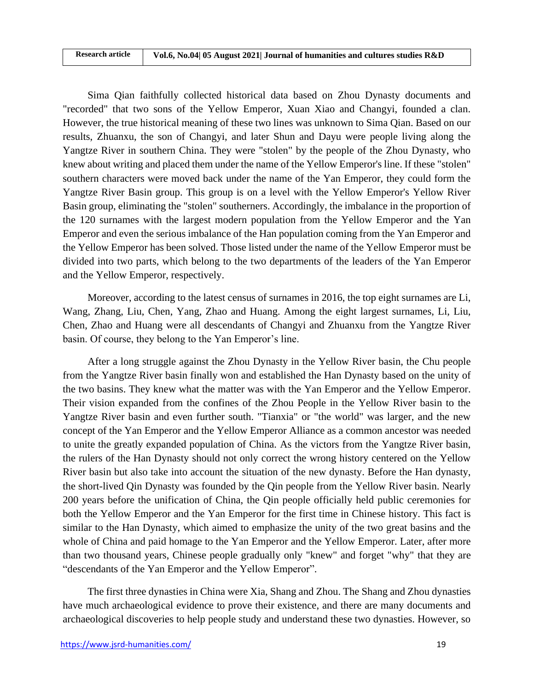Sima Qian faithfully collected historical data based on Zhou Dynasty documents and "recorded" that two sons of the Yellow Emperor, Xuan Xiao and Changyi, founded a clan. However, the true historical meaning of these two lines was unknown to Sima Qian. Based on our results, Zhuanxu, the son of Changyi, and later Shun and Dayu were people living along the Yangtze River in southern China. They were "stolen" by the people of the Zhou Dynasty, who knew about writing and placed them under the name of the Yellow Emperor's line. If these "stolen" southern characters were moved back under the name of the Yan Emperor, they could form the Yangtze River Basin group. This group is on a level with the Yellow Emperor's Yellow River Basin group, eliminating the "stolen" southerners. Accordingly, the imbalance in the proportion of the 120 surnames with the largest modern population from the Yellow Emperor and the Yan Emperor and even the serious imbalance of the Han population coming from the Yan Emperor and the Yellow Emperor has been solved. Those listed under the name of the Yellow Emperor must be divided into two parts, which belong to the two departments of the leaders of the Yan Emperor and the Yellow Emperor, respectively.

Moreover, according to the latest census of surnames in 2016, the top eight surnames are Li, Wang, Zhang, Liu, Chen, Yang, Zhao and Huang. Among the eight largest surnames, Li, Liu, Chen, Zhao and Huang were all descendants of Changyi and Zhuanxu from the Yangtze River basin. Of course, they belong to the Yan Emperor's line.

After a long struggle against the Zhou Dynasty in the Yellow River basin, the Chu people from the Yangtze River basin finally won and established the Han Dynasty based on the unity of the two basins. They knew what the matter was with the Yan Emperor and the Yellow Emperor. Their vision expanded from the confines of the Zhou People in the Yellow River basin to the Yangtze River basin and even further south. "Tianxia" or "the world" was larger, and the new concept of the Yan Emperor and the Yellow Emperor Alliance as a common ancestor was needed to unite the greatly expanded population of China. As the victors from the Yangtze River basin, the rulers of the Han Dynasty should not only correct the wrong history centered on the Yellow River basin but also take into account the situation of the new dynasty. Before the Han dynasty, the short-lived Qin Dynasty was founded by the Qin people from the Yellow River basin. Nearly 200 years before the unification of China, the Qin people officially held public ceremonies for both the Yellow Emperor and the Yan Emperor for the first time in Chinese history. This fact is similar to the Han Dynasty, which aimed to emphasize the unity of the two great basins and the whole of China and paid homage to the Yan Emperor and the Yellow Emperor. Later, after more than two thousand years, Chinese people gradually only "knew" and forget "why" that they are "descendants of the Yan Emperor and the Yellow Emperor".

The first three dynasties in China were Xia, Shang and Zhou. The Shang and Zhou dynasties have much archaeological evidence to prove their existence, and there are many documents and archaeological discoveries to help people study and understand these two dynasties. However, so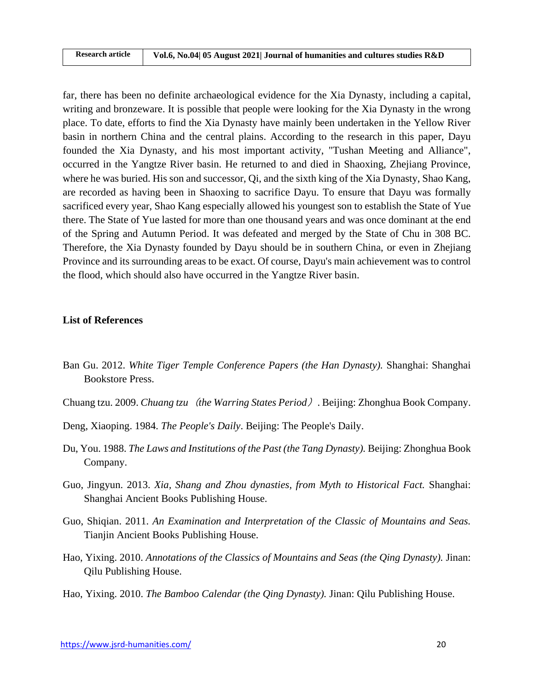| <b>Research article</b> | Vol.6, No.04  05 August 2021  Journal of humanities and cultures studies R&D |
|-------------------------|------------------------------------------------------------------------------|

far, there has been no definite archaeological evidence for the Xia Dynasty, including a capital, writing and bronzeware. It is possible that people were looking for the Xia Dynasty in the wrong place. To date, efforts to find the Xia Dynasty have mainly been undertaken in the Yellow River basin in northern China and the central plains. According to the research in this paper, Dayu founded the Xia Dynasty, and his most important activity, "Tushan Meeting and Alliance", occurred in the Yangtze River basin. He returned to and died in Shaoxing, Zhejiang Province, where he was buried. His son and successor, Qi, and the sixth king of the Xia Dynasty, Shao Kang, are recorded as having been in Shaoxing to sacrifice Dayu. To ensure that Dayu was formally sacrificed every year, Shao Kang especially allowed his youngest son to establish the State of Yue there. The State of Yue lasted for more than one thousand years and was once dominant at the end of the Spring and Autumn Period. It was defeated and merged by the State of Chu in 308 BC. Therefore, the Xia Dynasty founded by Dayu should be in southern China, or even in Zhejiang Province and its surrounding areas to be exact. Of course, Dayu's main achievement was to control the flood, which should also have occurred in the Yangtze River basin.

### **List of References**

- Ban Gu. 2012. *White Tiger Temple Conference Papers (the Han Dynasty).* Shanghai: Shanghai Bookstore Press.
- Chuang tzu. 2009. *Chuang tzu*(*the Warring States Period*). Beijing: Zhonghua Book Company.
- Deng, Xiaoping. 1984. *The People's Daily*. Beijing: The People's Daily.
- Du, You. 1988. *The Laws and Institutions of the Past (the Tang Dynasty).* Beijing: Zhonghua Book Company.
- Guo, Jingyun. 2013. *Xia, Shang and Zhou dynasties, from Myth to Historical Fact.* Shanghai: Shanghai Ancient Books Publishing House.
- Guo, Shiqian. 2011. *An Examination and Interpretation of the Classic of Mountains and Seas.*  Tianjin Ancient Books Publishing House.
- Hao, Yixing. 2010. *Annotations of the Classics of Mountains and Seas (the Qing Dynasty).* Jinan: Qilu Publishing House.
- Hao, Yixing. 2010. *The Bamboo Calendar (the Qing Dynasty).* Jinan: Qilu Publishing House.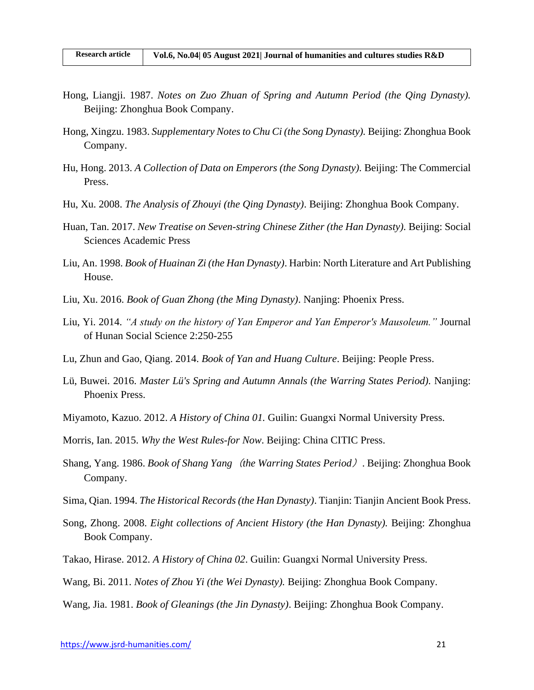- Hong, Liangji. 1987. *Notes on Zuo Zhuan of Spring and Autumn Period (the Qing Dynasty).* Beijing: Zhonghua Book Company.
- Hong, Xingzu. 1983. *Supplementary Notes to Chu Ci (the Song Dynasty).* Beijing: Zhonghua Book Company.
- Hu, Hong. 2013. *A Collection of Data on Emperors (the Song Dynasty).* Beijing: The Commercial Press.
- Hu, Xu. 2008. *The Analysis of Zhouyi (the Qing Dynasty)*. Beijing: Zhonghua Book Company.
- Huan, Tan. 2017. *New Treatise on Seven-string Chinese Zither (the Han Dynasty).* Beijing: Social Sciences Academic Press
- Liu, An. 1998. *Book of Huainan Zi (the Han Dynasty)*. Harbin: North Literature and Art Publishing House.
- Liu, Xu. 2016. *Book of Guan Zhong (the Ming Dynasty)*. Nanjing: Phoenix Press.
- Liu, Yi. 2014. *"A study on the history of Yan Emperor and Yan Emperor's Mausoleum."* Journal of Hunan Social Science 2:250-255
- Lu, Zhun and Gao, Qiang. 2014. *Book of Yan and Huang Culture*. Beijing: People Press.
- Lü, Buwei. 2016. *Master Lü's Spring and Autumn Annals (the Warring States Period).* Nanjing: Phoenix Press.
- Miyamoto, Kazuo. 2012. *A History of China 01.* Guilin: Guangxi Normal University Press.
- Morris, Ian. 2015. *Why the West Rules-for Now*. Beijing: China CITIC Press.
- Shang, Yang. 1986. *Book of Shang Yang*(*the Warring States Period*). Beijing: Zhonghua Book Company.
- Sima, Qian. 1994. *The Historical Records (the Han Dynasty)*. Tianjin: Tianjin Ancient Book Press.
- Song, Zhong. 2008. *Eight collections of Ancient History (the Han Dynasty).* Beijing: Zhonghua Book Company.
- Takao, Hirase. 2012. *A History of China 02*. Guilin: Guangxi Normal University Press.
- Wang, Bi. 2011. *Notes of Zhou Yi (the Wei Dynasty).* Beijing: Zhonghua Book Company.
- Wang, Jia. 1981. *Book of Gleanings (the Jin Dynasty)*. Beijing: Zhonghua Book Company.